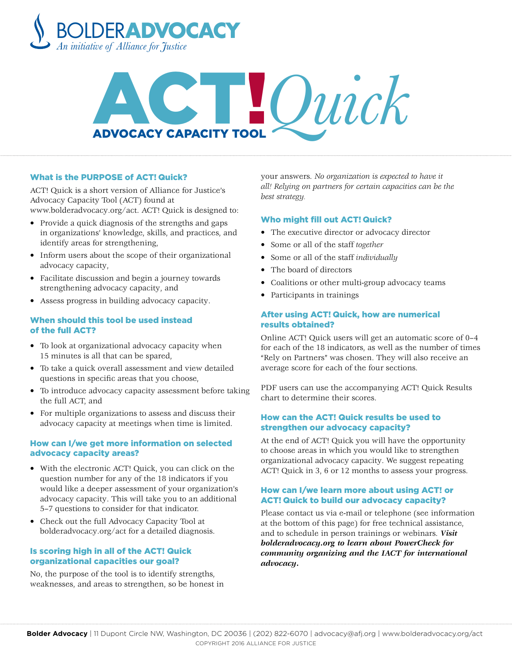

# ADVOCACY CAPACITY TOOL

#### What is the PURPOSE of ACT! Quick?

ACT! Quick is a short version of Alliance for Justice's Advocacy Capacity Tool (ACT) found at [www.bolderadvocacy.org/act.](http://www.bolderadvocacy.org/act) ACT! Quick is designed to:

- Provide a quick diagnosis of the strengths and gaps in organizations' knowledge, skills, and practices, and identify areas for strengthening,
- Inform users about the scope of their organizational advocacy capacity,
- Facilitate discussion and begin a journey towards strengthening advocacy capacity, and
- Assess progress in building advocacy capacity.

#### When should this tool be used instead of the full ACT?

- To look at organizational advocacy capacity when 15 minutes is all that can be spared,
- To take a quick overall assessment and view detailed questions in specific areas that you choose,
- To introduce advocacy capacity assessment before taking the full ACT, and
- For multiple organizations to assess and discuss their advocacy capacity at meetings when time is limited.

#### How can I/we get more information on selected advocacy capacity areas?

- With the electronic ACT! Quick, you can click on the question number for any of the 18 indicators if you would like a deeper assessment of your organization's advocacy capacity. This will take you to an additional 5–7 questions to consider for that indicator.
- Check out the full Advocacy Capacity Tool at [bolderadvocacy.org/act](http://www.bolderadvocacy.org/act) for a detailed diagnosis.

# Is scoring high in all of the ACT! Quick organizational capacities our goal?

No, the purpose of the tool is to identify strengths, weaknesses, and areas to strengthen, so be honest in your answers. *No organization is expected to have it all! Relying on partners for certain capacities can be the best strategy.*

#### Who might fill out ACT! Quick?

- The executive director or advocacy director
- Some or all of the staff *together*
- Some or all of the staff *individually*
- The board of directors
- Coalitions or other multi-group advocacy teams
- Participants in trainings

## After using ACT! Quick, how are numerical results obtained?

Online ACT! Quick users will get an automatic score of 0–4 for each of the 18 indicators, as well as the number of times "Rely on Partners" was chosen. They will also receive an average score for each of the four sections.

PDF users can use the accompanying ACT! Quick Results chart to determine their scores.

# How can the ACT! Quick results be used to strengthen our advocacy capacity?

At the end of ACT! Quick you will have the opportunity to choose areas in which you would like to strengthen organizational advocacy capacity. We suggest repeating ACT! Quick in 3, 6 or 12 months to assess your progress.

# How can I/we learn more about using ACT! or ACT! Quick to build our advocacy capacity?

Please contact us via e-mail or telephone (see information at the bottom of this page) for free technical assistance, and to schedule in person trainings or webinars. *[Visit](http://webinars.Visit) [bolderadvocacy.org](http://bolderadvocacy.org) to learn about PowerCheck for community organizing and the IACT for international advocacy.*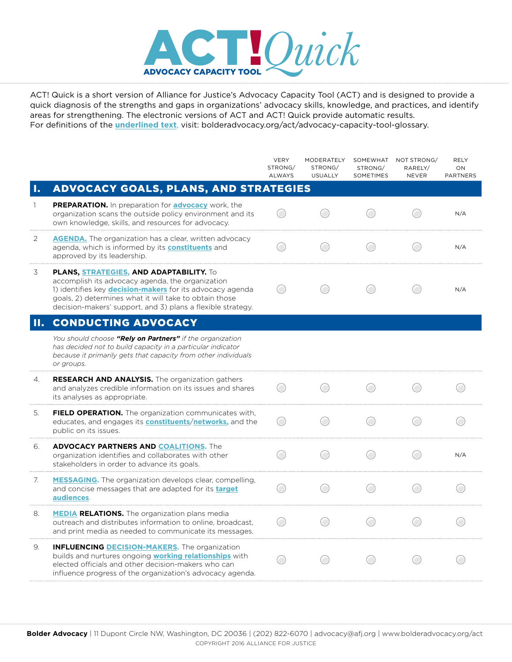

ACT! Quick is a short version of Alliance for Justice's Advocacy Capacity Tool (ACT) and is designed to provide a quick diagnosis of the strengths and gaps in organizations' advocacy skills, knowledge, and practices, and identify areas for strengthening. The electronic versions of ACT and ACT! Quick provide automatic results. For definitions of the **underlined text**, visit: [bolderadvocacy.org/act/advocacy](http://bolderadvocacy.org/act/advocacy-capacity-tool-glossary)-capacity-tool-glossary.

|    |                                                                                                                                                                                                                                                                                                 | <b>VERY</b><br>STRONG/<br><b>ALWAYS</b> | MODERATELY<br>STRONG/<br><b>USUALLY</b> | SOMEWHAT<br>STRONG/<br>SOMETIMES | NOT STRONG/<br>RARELY/<br><b>NEVER</b> | <b>RELY</b><br>ON<br><b>PARTNERS</b> |
|----|-------------------------------------------------------------------------------------------------------------------------------------------------------------------------------------------------------------------------------------------------------------------------------------------------|-----------------------------------------|-----------------------------------------|----------------------------------|----------------------------------------|--------------------------------------|
| 1. | <b>ADVOCACY GOALS, PLANS, AND STRATEGIES</b>                                                                                                                                                                                                                                                    |                                         |                                         |                                  |                                        |                                      |
|    | <b>PREPARATION.</b> In preparation for <b>advocacy</b> work, the<br>organization scans the outside policy environment and its<br>own knowledge, skills, and resources for advocacy.                                                                                                             |                                         |                                         |                                  |                                        | N/A                                  |
| 2  | <b>AGENDA.</b> The organization has a clear, written advocacy<br>agenda, which is informed by its <b>constituents</b> and<br>approved by its leadership.                                                                                                                                        |                                         |                                         |                                  |                                        | N/A                                  |
| 3  | <b>PLANS, STRATEGIES, AND ADAPTABILITY.</b> To<br>accomplish its advocacy agenda, the organization<br>1) identifies key <b>decision-makers</b> for its advocacy agenda<br>goals, 2) determines what it will take to obtain those<br>decision-makers' support, and 3) plans a flexible strategy. |                                         |                                         |                                  |                                        | N/A                                  |
| п. | <b>CONDUCTING ADVOCACY</b>                                                                                                                                                                                                                                                                      |                                         |                                         |                                  |                                        |                                      |
|    | You should choose "Rely on Partners" if the organization<br>has decided not to build capacity in a particular indicator<br>because it primarily gets that capacity from other individuals<br>or groups.                                                                                         |                                         |                                         |                                  |                                        |                                      |
| 4. | RESEARCH AND ANALYSIS. The organization gathers<br>and analyzes credible information on its issues and shares<br>its analyses as appropriate.                                                                                                                                                   |                                         |                                         |                                  |                                        |                                      |
| 5. | <b>FIELD OPERATION.</b> The organization communicates with,<br>educates, and engages its <b>constituents/networks</b> , and the<br>public on its issues.                                                                                                                                        |                                         |                                         |                                  |                                        |                                      |
| 6. | <b>ADVOCACY PARTNERS AND COALITIONS. The</b><br>organization identifies and collaborates with other<br>stakeholders in order to advance its goals.                                                                                                                                              |                                         |                                         |                                  |                                        | N/A                                  |
| 7. | <b>MESSAGING.</b> The organization develops clear, compelling,<br>and concise messages that are adapted for its <b>target</b><br>audiences.                                                                                                                                                     |                                         |                                         |                                  |                                        |                                      |
| 8. | <b>MEDIA RELATIONS.</b> The organization plans media<br>outreach and distributes information to online, broadcast,<br>and print media as needed to communicate its messages.                                                                                                                    |                                         |                                         |                                  |                                        |                                      |
| 9. | <b>INFLUENCING DECISION-MAKERS.</b> The organization<br>builds and nurtures ongoing <b>working relationships</b> with<br>elected officials and other decision-makers who can<br>influence progress of the organization's advocacy agenda.                                                       |                                         |                                         |                                  |                                        |                                      |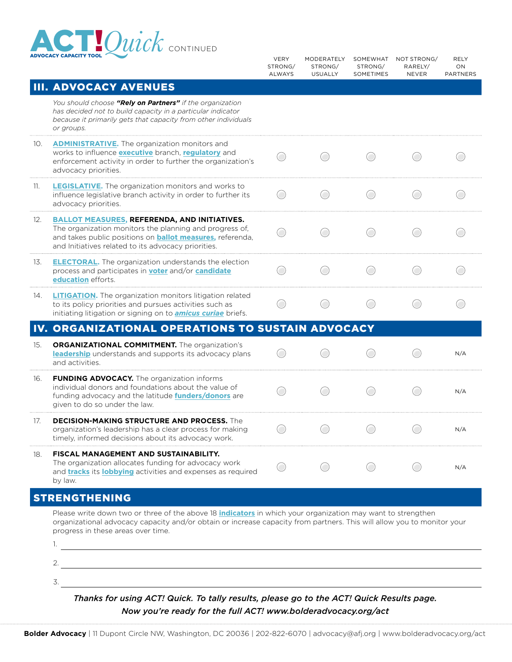

| ADVOCACY CAPACITY TOOL |                                                                                                                                                                                                                                                                                    | <b>VERY</b><br>STRONG/<br>ALWAYS | MODERATELY<br>STRONG/<br><b>USUALLY</b> | SOMEWHAT<br>STRONG/<br>SOMETIMES | NOT STRONG/<br>RARELY/<br>NEVER | <b>RELY</b><br>ON<br><b>PARTNERS</b> |
|------------------------|------------------------------------------------------------------------------------------------------------------------------------------------------------------------------------------------------------------------------------------------------------------------------------|----------------------------------|-----------------------------------------|----------------------------------|---------------------------------|--------------------------------------|
|                        | <b>III. ADVOCACY AVENUES</b>                                                                                                                                                                                                                                                       |                                  |                                         |                                  |                                 |                                      |
|                        | You should choose "Rely on Partners" if the organization<br>has decided not to build capacity in a particular indicator<br>because it primarily gets that capacity from other individuals<br>or groups.                                                                            |                                  |                                         |                                  |                                 |                                      |
| 10.                    | <b>ADMINISTRATIVE.</b> The organization monitors and<br>works to influence <b>executive</b> branch, <b>regulatory</b> and<br>enforcement activity in order to further the organization's<br>advocacy priorities.                                                                   |                                  |                                         |                                  |                                 |                                      |
| 11.                    | <b>LEGISLATIVE.</b> The organization monitors and works to<br>influence legislative branch activity in order to further its<br>advocacy priorities.                                                                                                                                |                                  |                                         |                                  |                                 |                                      |
| 12.                    | <b>BALLOT MEASURES, REFERENDA, AND INITIATIVES.</b><br>The organization monitors the planning and progress of,<br>and takes public positions on <b>ballot measures</b> , referenda,<br>and Initiatives related to its advocacy priorities.                                         |                                  |                                         |                                  |                                 |                                      |
| 13.                    | <b>ELECTORAL.</b> The organization understands the election<br>process and participates in <b>voter</b> and/or <b>candidate</b><br>education efforts.                                                                                                                              |                                  |                                         | $\Box$                           |                                 |                                      |
| 14.                    | <b>LITIGATION.</b> The organization monitors litigation related<br>to its policy priorities and pursues activities such as<br>initiating litigation or signing on to <b>amicus curiae</b> briefs.                                                                                  |                                  |                                         |                                  |                                 |                                      |
|                        | IV. ORGANIZATIONAL OPERATIONS TO SUSTAIN ADVOCACY                                                                                                                                                                                                                                  |                                  |                                         |                                  |                                 |                                      |
| 15.                    | <b>ORGANIZATIONAL COMMITMENT.</b> The organization's<br>leadership understands and supports its advocacy plans<br>and activities.                                                                                                                                                  |                                  |                                         |                                  |                                 | N/A                                  |
| 16.                    | <b>FUNDING ADVOCACY.</b> The organization informs<br>individual donors and foundations about the value of<br>funding advocacy and the latitude <b>funders/donors</b> are<br>given to do so under the law.                                                                          |                                  |                                         |                                  |                                 | N/A                                  |
| 17.                    | <b>DECISION-MAKING STRUCTURE AND PROCESS.</b> The<br>organization's leadership has a clear process for making<br>timely, informed decisions about its advocacy work.                                                                                                               |                                  |                                         |                                  |                                 | N/A                                  |
| 18.                    | <b>FISCAL MANAGEMENT AND SUSTAINABILITY.</b><br>The organization allocates funding for advocacy work<br>and <b>tracks</b> its <b>lobbying</b> activities and expenses as required<br>by law.                                                                                       |                                  |                                         |                                  |                                 | N/A                                  |
|                        | <b>STRENGTHENING</b>                                                                                                                                                                                                                                                               |                                  |                                         |                                  |                                 |                                      |
|                        | Please write down two or three of the above 18 <i>indicators</i> in which your organization may want to strengthen<br>organizational advocacy capacity and/or obtain or increase capacity from partners. This will allow you to monitor your<br>progress in these areas over time. |                                  |                                         |                                  |                                 |                                      |

*Thanks for using ACT! Quick. To tally results, please go to the ACT! Quick Results page. Now you're ready for the full ACT! www.bolderadvocacy.org/act*